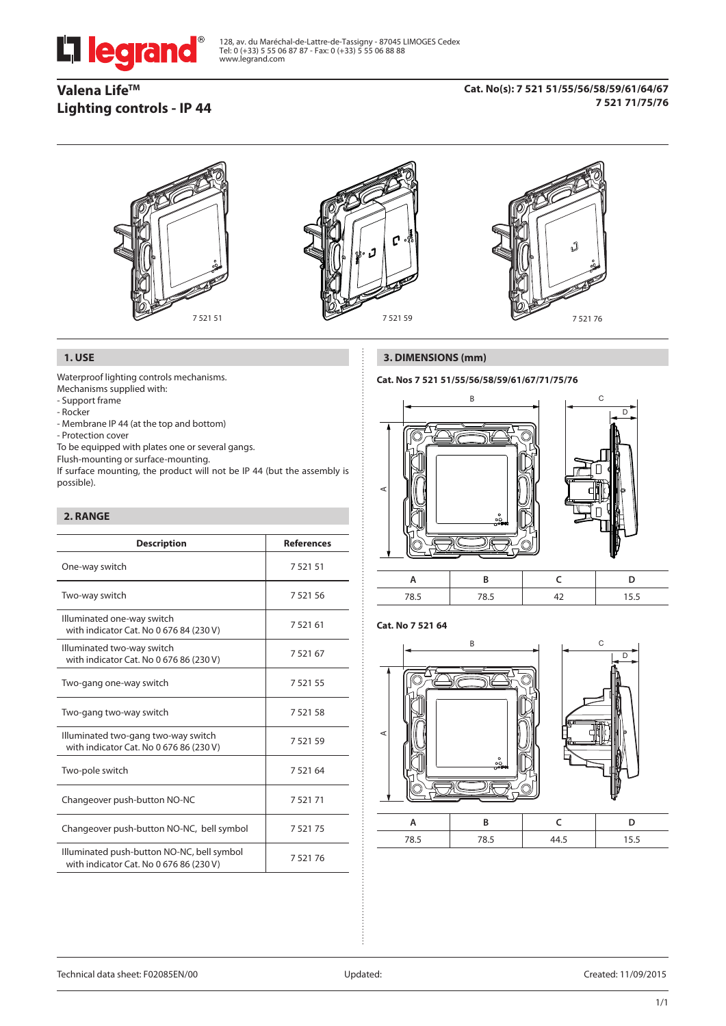

128, av. du Maréchal-de-Lattre-de-Tassigny - 87045 LIMOGES Cedex Tel: 0 (+33) 5 55 06 87 87 - Fax: 0 (+33) 5 55 06 88 88 www.legrand.com

# **Valena LifeTM Lighting controls - IP 44**

### **Cat. No(s): 7 521 51/55/56/58/59/61/64/67 7 521 71/75/76**



## **1. USE**

Waterproof lighting controls mechanisms. Mechanisms supplied with:

- Support frame

- Rocker

- Membrane IP 44 (at the top and bottom)
- Protection cover
- To be equipped with plates one or several gangs.

Flush-mounting or surface-mounting.

If surface mounting, the product will not be IP 44 (but the assembly is possible).

# **2. RANGE**

| <b>Description</b>                                                                    | <b>References</b> |
|---------------------------------------------------------------------------------------|-------------------|
| One-way switch                                                                        | 7 5 2 1 5 1       |
| Two-way switch                                                                        | 752156            |
| Illuminated one-way switch<br>with indicator Cat. No 0 676 84 (230 V)                 | 7 5 2 1 6 1       |
| Illuminated two-way switch<br>with indicator Cat. No 0 676 86 (230 V)                 | 752167            |
| Two-gang one-way switch                                                               | 7 5 2 1 5 5       |
| Two-gang two-way switch                                                               | 752158            |
| Illuminated two-gang two-way switch<br>with indicator Cat. No 0 676 86 (230 V)        | 752159            |
| Two-pole switch                                                                       | 7 5 2 1 6 4       |
| Changeover push-button NO-NC                                                          | 752171            |
| Changeover push-button NO-NC, bell symbol                                             | 752175            |
| Illuminated push-button NO-NC, bell symbol<br>with indicator Cat. No 0 676 86 (230 V) | 752176            |

# **3. DIMENSIONS (mm)**

# **Cat. Nos 7 521 51/55/56/58/59/61/67/71/75/76**



|  | $\cdot$ . |
|--|-----------|

### **Cat. No 7 521 64**